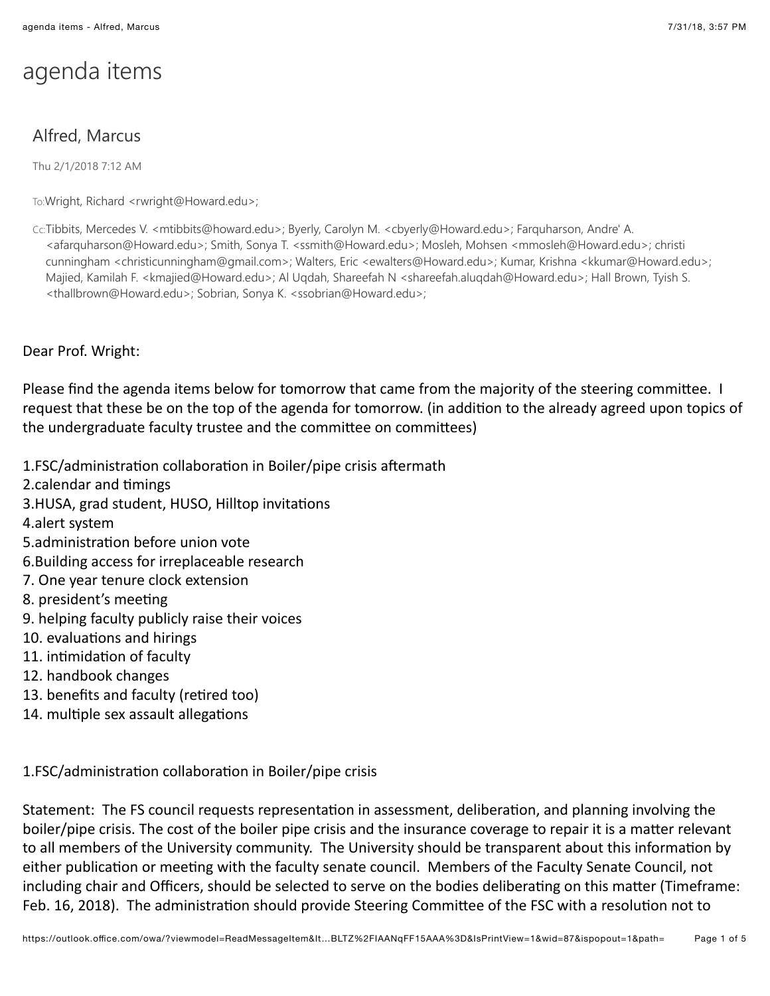## agenda items

## Alfred, Marcus

Thu 2/1/2018 7:12 AM

To:Wright, Richard <rwright@Howard.edu>;

Cc:Tibbits, Mercedes V. <mtibbits@howard.edu>; Byerly, Carolyn M. <cbyerly@Howard.edu>; Farquharson, Andre' A. <afarquharson@Howard.edu>; Smith, Sonya T. <ssmith@Howard.edu>; Mosleh, Mohsen <mmosleh@Howard.edu>; christi cunningham <christicunningham@gmail.com>; Walters, Eric <ewalters@Howard.edu>; Kumar, Krishna <kkumar@Howard.edu>; Majied, Kamilah F. <kmajied@Howard.edu>; Al Uqdah, Shareefah N <shareefah.aluqdah@Howard.edu>; Hall Brown, Tyish S. <thallbrown@Howard.edu>; Sobrian, Sonya K. <ssobrian@Howard.edu>;

Dear Prof. Wright:

Please find the agenda items below for tomorrow that came from the majority of the steering committee. I request that these be on the top of the agenda for tomorrow. (in addition to the already agreed upon topics of the undergraduate faculty trustee and the committee on committees)

1.FSC/administration collaboration in Boiler/pipe crisis aftermath

- 2.calendar and timings
- 3.HUSA, grad student, HUSO, Hilltop invitations
- 4.alert system
- 5.administration before union vote
- 6. Building access for irreplaceable research
- 7. One year tenure clock extension
- 8. president's meeting
- 9. helping faculty publicly raise their voices
- 10. evaluations and hirings
- 11. intimidation of facultv
- 12. handbook changes
- 13. benefits and faculty (retired too)
- 14. multiple sex assault allegations

1.FSC/administration collaboration in Boiler/pipe crisis

Statement: The FS council requests representation in assessment, deliberation, and planning involving the boiler/pipe crisis. The cost of the boiler pipe crisis and the insurance coverage to repair it is a matter relevant to all members of the University community. The University should be transparent about this information by either publication or meeting with the faculty senate council. Members of the Faculty Senate Council, not including chair and Officers, should be selected to serve on the bodies deliberating on this matter (Timeframe: Feb. 16, 2018). The administration should provide Steering Committee of the FSC with a resolution not to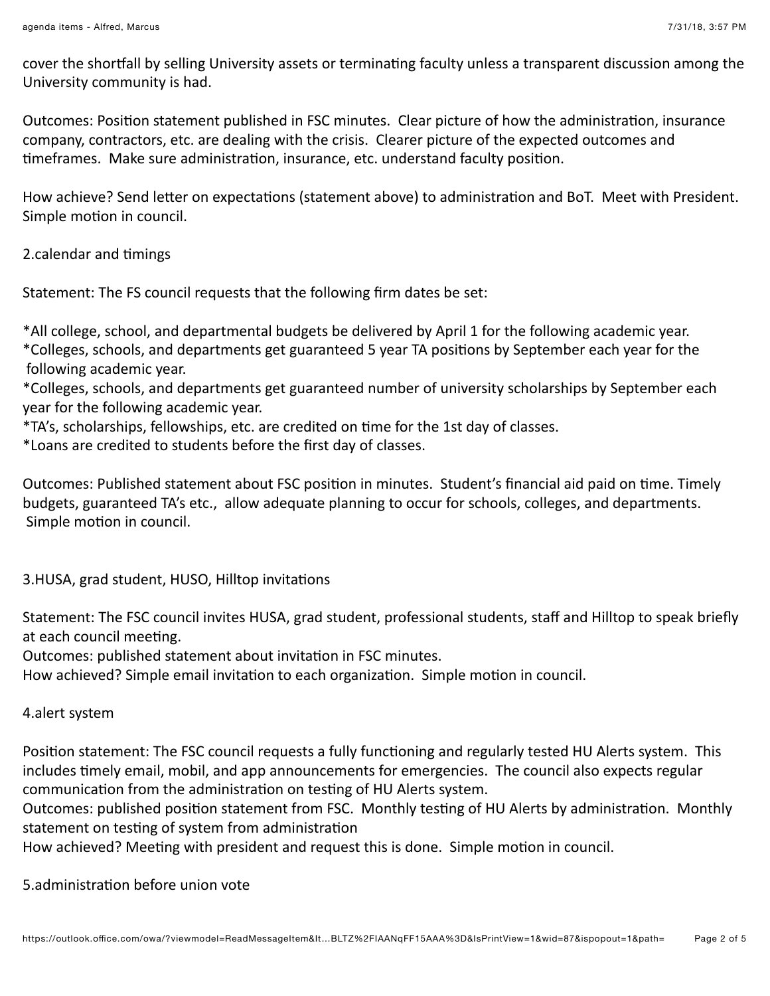cover the shortfall by selling University assets or terminating faculty unless a transparent discussion among the University community is had.

Outcomes: Position statement published in FSC minutes. Clear picture of how the administration, insurance company, contractors, etc. are dealing with the crisis. Clearer picture of the expected outcomes and timeframes. Make sure administration, insurance, etc. understand faculty position.

How achieve? Send letter on expectations (statement above) to administration and BoT. Meet with President. Simple motion in council.

2.calendar and timings

Statement: The FS council requests that the following firm dates be set:

\*All college, school, and departmental budgets be delivered by April 1 for the following academic year. \*Colleges, schools, and departments get guaranteed 5 year TA positions by September each year for the following academic year.

\*Colleges, schools, and departments get guaranteed number of university scholarships by September each year for the following academic year.

\*TA's, scholarships, fellowships, etc. are credited on time for the 1st day of classes.

\*Loans are credited to students before the first day of classes.

Outcomes: Published statement about FSC position in minutes. Student's financial aid paid on time. Timely budgets, guaranteed TA's etc., allow adequate planning to occur for schools, colleges, and departments. Simple motion in council.

3.HUSA, grad student, HUSO, Hilltop invitations

Statement: The FSC council invites HUSA, grad student, professional students, staff and Hilltop to speak briefly at each council meeting.

Outcomes: published statement about invitation in FSC minutes.

How achieved? Simple email invitation to each organization. Simple motion in council.

4.alert system

Position statement: The FSC council requests a fully functioning and regularly tested HU Alerts system. This includes timely email, mobil, and app announcements for emergencies. The council also expects regular communication from the administration on testing of HU Alerts system.

Outcomes: published position statement from FSC. Monthly testing of HU Alerts by administration. Monthly statement on testing of system from administration

How achieved? Meeting with president and request this is done. Simple motion in council.

5.administration before union vote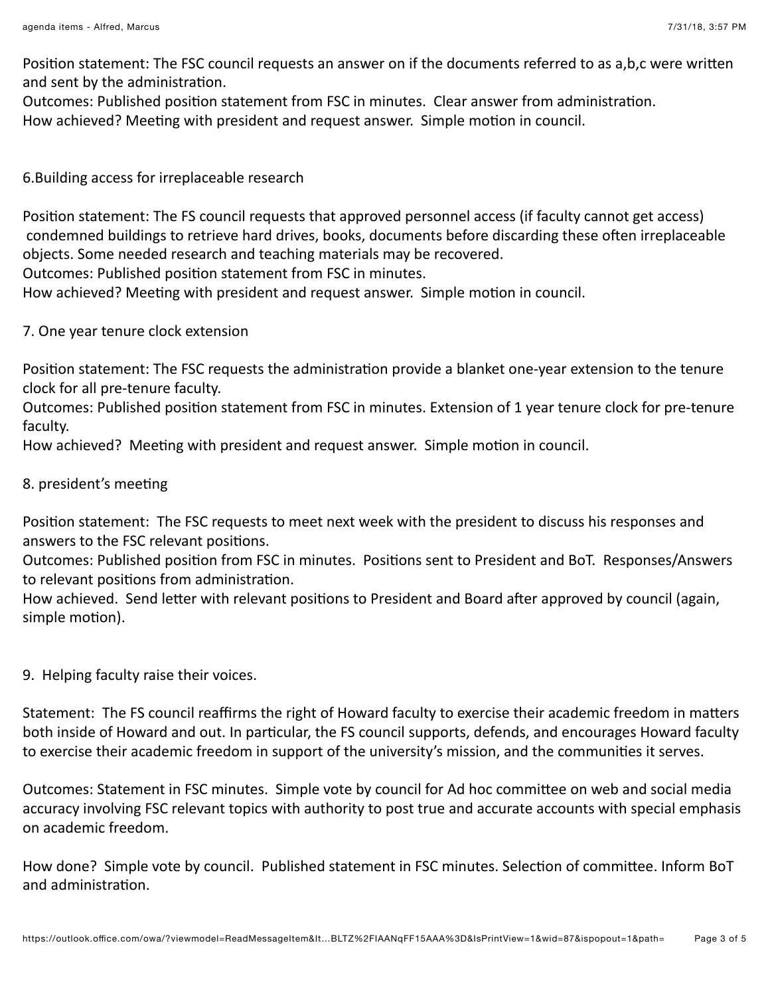Position statement: The FSC council requests an answer on if the documents referred to as a,b,c were written and sent by the administration.

Outcomes: Published position statement from FSC in minutes. Clear answer from administration.

How achieved? Meeting with president and request answer. Simple motion in council.

6. Building access for irreplaceable research

Position statement: The FS council requests that approved personnel access (if faculty cannot get access) condemned buildings to retrieve hard drives, books, documents before discarding these often irreplaceable objects. Some needed research and teaching materials may be recovered.

Outcomes: Published position statement from FSC in minutes.

How achieved? Meeting with president and request answer. Simple motion in council.

7. One year tenure clock extension

Position statement: The FSC requests the administration provide a blanket one-year extension to the tenure clock for all pre-tenure faculty.

Outcomes: Published position statement from FSC in minutes. Extension of 1 year tenure clock for pre-tenure faculty.

How achieved? Meeting with president and request answer. Simple motion in council.

8. president's meeting

Position statement: The FSC requests to meet next week with the president to discuss his responses and answers to the FSC relevant positions.

Outcomes: Published position from FSC in minutes. Positions sent to President and BoT. Responses/Answers to relevant positions from administration.

How achieved. Send letter with relevant positions to President and Board after approved by council (again, simple motion).

9. Helping faculty raise their voices.

Statement: The FS council reaffirms the right of Howard faculty to exercise their academic freedom in matters both inside of Howard and out. In particular, the FS council supports, defends, and encourages Howard faculty to exercise their academic freedom in support of the university's mission, and the communities it serves.

Outcomes: Statement in FSC minutes. Simple vote by council for Ad hoc committee on web and social media accuracy involving FSC relevant topics with authority to post true and accurate accounts with special emphasis on academic freedom.

How done? Simple vote by council. Published statement in FSC minutes. Selection of committee. Inform BoT and administration.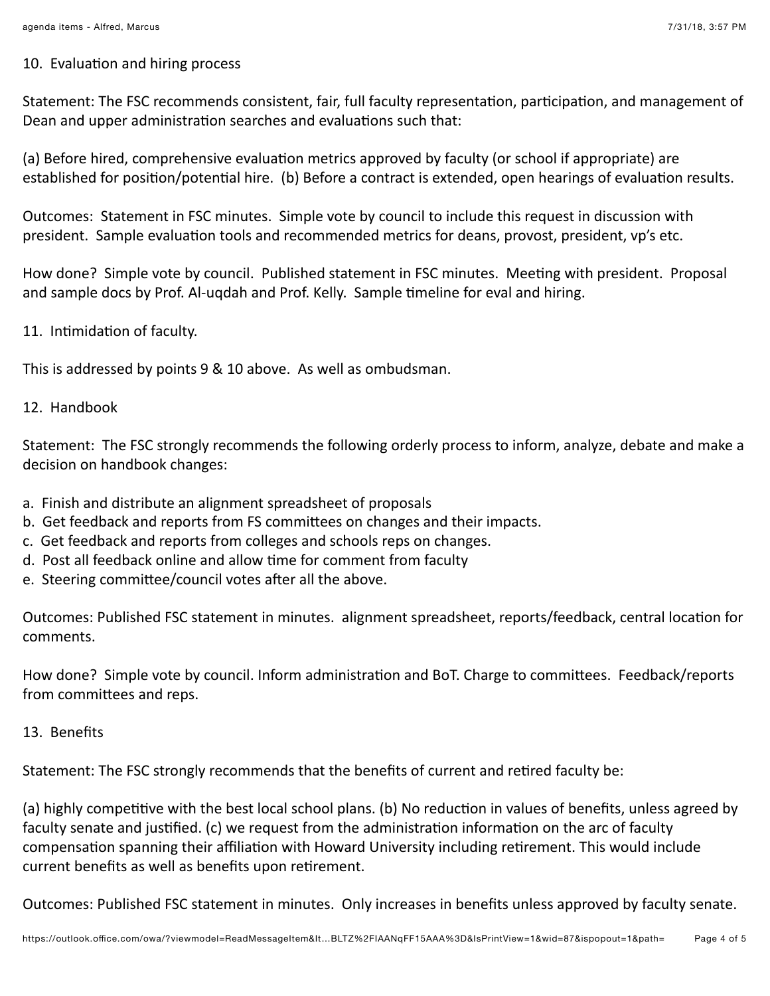## 10. Evaluation and hiring process

Statement: The FSC recommends consistent, fair, full faculty representation, participation, and management of Dean and upper administration searches and evaluations such that:

(a) Before hired, comprehensive evaluation metrics approved by faculty (or school if appropriate) are established for position/potential hire. (b) Before a contract is extended, open hearings of evaluation results.

Outcomes: Statement in FSC minutes. Simple vote by council to include this request in discussion with president. Sample evaluation tools and recommended metrics for deans, provost, president, vp's etc.

How done? Simple vote by council. Published statement in FSC minutes. Meeting with president. Proposal and sample docs by Prof. Al-ugdah and Prof. Kelly. Sample timeline for eval and hiring.

11. Intimidation of faculty.

This is addressed by points 9 & 10 above. As well as ombudsman.

## 12. Handbook

Statement: The FSC strongly recommends the following orderly process to inform, analyze, debate and make a decision on handbook changes:

- a. Finish and distribute an alignment spreadsheet of proposals
- b. Get feedback and reports from FS committees on changes and their impacts.
- c. Get feedback and reports from colleges and schools reps on changes.
- d. Post all feedback online and allow time for comment from faculty
- e. Steering committee/council votes after all the above.

Outcomes: Published FSC statement in minutes. alignment spreadsheet, reports/feedback, central location for comments.

How done? Simple vote by council. Inform administration and BoT. Charge to committees. Feedback/reports from committees and reps.

13. Benefits

Statement: The FSC strongly recommends that the benefits of current and retired faculty be:

(a) highly competitive with the best local school plans. (b) No reduction in values of benefits, unless agreed by faculty senate and justified. (c) we request from the administration information on the arc of faculty compensation spanning their affiliation with Howard University including retirement. This would include current benefits as well as benefits upon retirement.

Outcomes: Published FSC statement in minutes. Only increases in benefits unless approved by faculty senate.